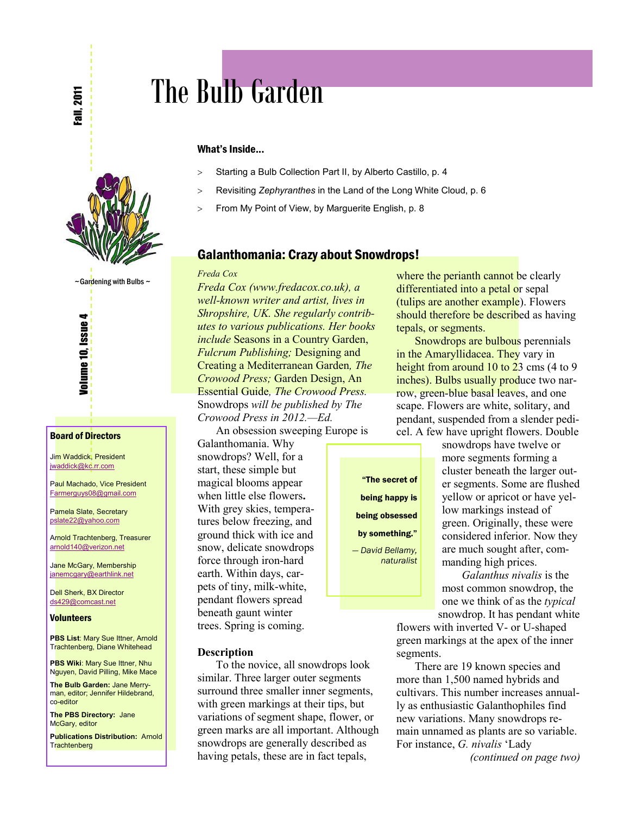

 $\sim$  Gardening with Bulbs  $\sim$ 

Volume 10, Issue 4

#### Board of Directors

Jim Waddick, President [jwaddick@kc.rr.com](mailto:jwaddick@kc.rr.com)

Paul Machado, Vice President [Farmerguys08@gmail.com](mailto:Farmerguys@clearwire.net)

Pamela Slate, Secretary [pslate22@yahoo.com](mailto:pslate22@yahoo.com)

Arnold Trachtenberg, Treasurer [arnold140@verizon.net](mailto:arnold140@verizon.net)

Jane McGary, Membership [janemcgary@earthlink.net](mailto:janemcgary@earthlink.net)

Dell Sherk, BX Director [ds429@comcast.net](mailto:ds429@comcast.net)

#### **Volunteers**

**PBS List: Mary Sue Ittner, Arnold** Trachtenberg, Diane Whitehead

**PBS Wiki: Mary Sue Ittner, Nhu** Nguyen, David Pilling, Mike Mace

**The Bulb Garden:** Jane Merryman, editor; Jennifer Hildebrand, co-editor

**The PBS Directory:** Jane McGary, editor

**Publications Distribution:** Arnold **Trachtenberg** 

# The Bulb Garden

#### What's Inside...

- > Starting a Bulb Collection Part II, by Alberto Castillo, p. 4
- ! Revisiting *Zephyranthes* in the Land of the Long White Cloud, p. 6
- > From My Point of View, by Marguerite English, p. 8

#### Galanthomania: Crazy about Snowdrops!

#### *Freda Cox*

*Freda Cox (www.fredacox.co.uk), a well-known writer and artist, lives in Shropshire, UK. She regularly contributes to various publications. Her books include* Seasons in a Country Garden, *Fulcrum Publishing;* Designing and Creating a Mediterranean Garden*, The Crowood Press;* Garden Design, An Essential Guide*, The Crowood Press.*  Snowdrops *will be published by The Crowood Press in 2012.—Ed.* 

An obsession sweeping Europe is

Galanthomania. Why snowdrops? Well, for a start, these simple but magical blooms appear when little else flowers**.**  With grey skies, temperatures below freezing, and ground thick with ice and snow, delicate snowdrops force through iron-hard earth. Within days, carpets of tiny, milk-white, pendant flowers spread beneath gaunt winter trees. Spring is coming.

#### **Description**

To the novice, all snowdrops look similar. Three larger outer segments surround three smaller inner segments, with green markings at their tips, but variations of segment shape, flower, or green marks are all important. Although snowdrops are generally described as having petals, these are in fact tepals,

where the perianth cannot be clearly differentiated into a petal or sepal (tulips are another example). Flowers should therefore be described as having tepals, or segments.

Snowdrops are bulbous perennials in the Amaryllidacea. They vary in height from around 10 to 23 cms (4 to 9) inches). Bulbs usually produce two narrow, green-blue basal leaves, and one scape. Flowers are white, solitary, and pendant, suspended from a slender pedicel. A few have upright flowers. Double

"The secret of being happy is being obsessed by something." *— David Bellamy,* 

snowdrops have twelve or more segments forming a cluster beneath the larger outer segments. Some are flushed yellow or apricot or have yellow markings instead of green. Originally, these were considered inferior. Now they are much sought after, commanding high prices.

 *Galanthus nivalis* is the most common snowdrop, the one we think of as the *typical* snowdrop. It has pendant white

flowers with inverted V- or U-shaped green markings at the apex of the inner segments.

There are 19 known species and more than 1,500 named hybrids and cultivars. This number increases annually as enthusiastic Galanthophiles find new variations. Many snowdrops remain unnamed as plants are so variable. For instance, *G. nivalis* 'Lady

*(continued on page two)*

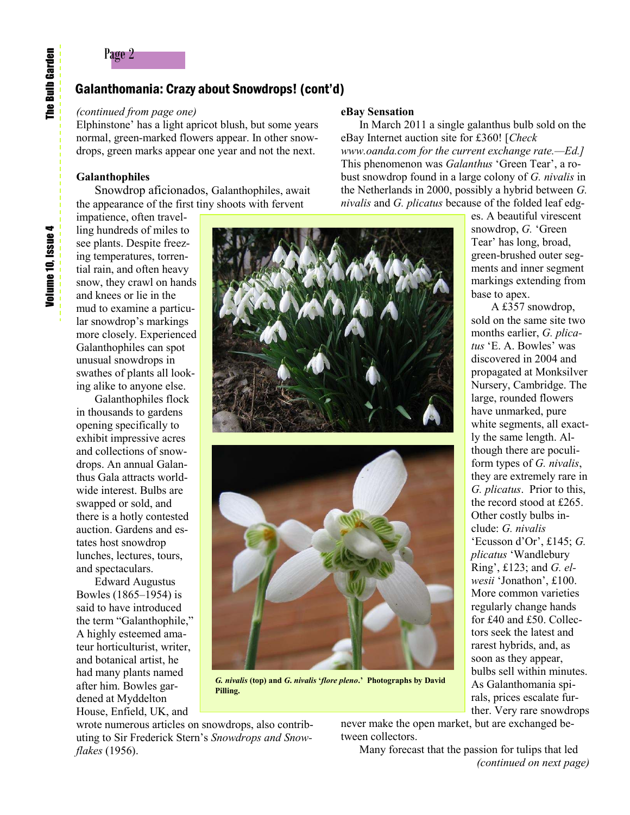# Page 2

## Galanthomania: Crazy about Snowdrops! (cont'd)

*(continued from page one)*

Elphinstone' has a light apricot blush, but some years normal, green-marked flowers appear. In other snowdrops, green marks appear one year and not the next.

#### **Galanthophiles**

Snowdrop aficionados, Galanthophiles, await the appearance of the first tiny shoots with fervent

impatience, often travelling hundreds of miles to see plants. Despite freezing temperatures, torrential rain, and often heavy snow, they crawl on hands and knees or lie in the mud to examine a particular snowdrop's markings more closely. Experienced Galanthophiles can spot unusual snowdrops in swathes of plants all looking alike to anyone else.

Galanthophiles flock in thousands to gardens opening specifically to exhibit impressive acres and collections of snowdrops. An annual Galanthus Gala attracts worldwide interest. Bulbs are swapped or sold, and there is a hotly contested auction. Gardens and estates host snowdrop lunches, lectures, tours, and spectaculars.

Edward Augustus Bowles (1865–1954) is said to have introduced the term "Galanthophile," A highly esteemed amateur horticulturist, writer, and botanical artist, he had many plants named after him. Bowles gardened at Myddelton House, Enfield, UK, and

#### **eBay Sensation**

In March 2011 a single galanthus bulb sold on the eBay Internet auction site for £360! [*Check www.oanda.com for the current exchange rate.—Ed.]*  This phenomenon was *Galanthus* 'Green Tear', a robust snowdrop found in a large colony of *G. nivalis* in the Netherlands in 2000, possibly a hybrid between *G. nivalis* and *G. plicatus* because of the folded leaf edg-

es. A beautiful virescent snowdrop, *G.* 'Green Tear' has long, broad, green-brushed outer segments and inner segment markings extending from base to apex.

 A £357 snowdrop, sold on the same site two months earlier, *G. plicatus* 'E. A. Bowles' was discovered in 2004 and propagated at Monksilver Nursery, Cambridge. The large, rounded flowers have unmarked, pure white segments, all exactly the same length. Although there are poculiform types of *G. nivalis*, they are extremely rare in *G. plicatus*. Prior to this, the record stood at £265. Other costly bulbs include: *G. nivalis*  'Ecusson d'Or', £145; *G. plicatus* 'Wandlebury Ring', £123; and *G. elwesii* 'Jonathon', £100. More common varieties regularly change hands for £40 and £50. Collectors seek the latest and rarest hybrids, and, as soon as they appear, bulbs sell within minutes. As Galanthomania spirals, prices escalate further. Very rare snowdrops



*G. nivalis* **(top) and** *G***.** *nivalis* **'***flore pleno***.' Photographs by David Pilling.**

wrote numerous articles on snowdrops, also contributing to Sir Frederick Stern's *Snowdrops and Snowflakes* (1956).

never make the open market, but are exchanged between collectors.

Many forecast that the passion for tulips that led *(continued on next page)*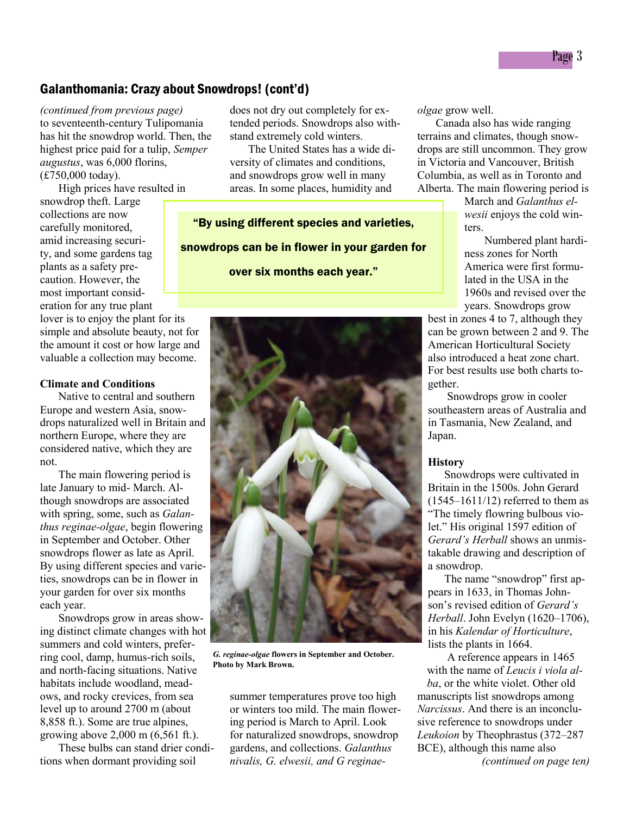## Galanthomania: Crazy about Snowdrops! (cont'd)

*(continued from previous page)* to seventeenth-century Tulipomania has hit the snowdrop world. Then, the highest price paid for a tulip, *Semper augustus*, was 6,000 florins, (£750,000 today).

High prices have resulted in

snowdrop theft. Large collections are now carefully monitored, amid increasing security, and some gardens tag plants as a safety precaution. However, the most important consideration for any true plant

lover is to enjoy the plant for its simple and absolute beauty, not for the amount it cost or how large and valuable a collection may become.

#### **Climate and Conditions**

Native to central and southern Europe and western Asia, snowdrops naturalized well in Britain and northern Europe, where they are considered native, which they are not.

The main flowering period is late January to mid- March. Although snowdrops are associated with spring, some, such as *Galanthus reginae-olgae*, begin flowering in September and October. Other snowdrops flower as late as April. By using different species and varieties, snowdrops can be in flower in your garden for over six months each year.

Snowdrops grow in areas showing distinct climate changes with hot summers and cold winters, preferring cool, damp, humus-rich soils, and north-facing situations. Native habitats include woodland, meadows, and rocky crevices, from sea level up to around 2700 m (about 8,858 ft.). Some are true alpines, growing above 2,000 m (6,561 ft.).

These bulbs can stand drier conditions when dormant providing soil

does not dry out completely for extended periods. Snowdrops also withstand extremely cold winters.

The United States has a wide diversity of climates and conditions, and snowdrops grow well in many areas. In some places, humidity and

"By using different species and varieties, snowdrops can be in flower in your garden for

over six months each year."



*G. reginae-olgae* **flowers in September and October. Photo by Mark Brown.**

summer temperatures prove too high or winters too mild. The main flowering period is March to April. Look for naturalized snowdrops, snowdrop gardens, and collections. *Galanthus nivalis, G. elwesii, and G reginae-* *olgae* grow well.

Canada also has wide ranging terrains and climates, though snowdrops are still uncommon. They grow in Victoria and Vancouver, British Columbia, as well as in Toronto and Alberta. The main flowering period is

> March and *Galanthus elwesii* enjoys the cold winters.

 Numbered plant hardiness zones for North America were first formulated in the USA in the 1960s and revised over the years. Snowdrops grow

best in zones 4 to 7, although they can be grown between 2 and 9. The American Horticultural Society also introduced a heat zone chart. For best results use both charts together.

 Snowdrops grow in cooler southeastern areas of Australia and in Tasmania, New Zealand, and Japan.

#### **History**

 Snowdrops were cultivated in Britain in the 1500s. John Gerard  $(1545-1611/12)$  referred to them as "The timely flowring bulbous violet." His original 1597 edition of *Gerard's Herball* shows an unmistakable drawing and description of a snowdrop.

 The name "snowdrop" first appears in 1633, in Thomas Johnson's revised edition of *Gerard's Herball*. John Evelyn (1620–1706), in his *Kalendar of Horticulture*, lists the plants in 1664.

 A reference appears in 1465 with the name of *Leucis i viola al-*

*ba*, or the white violet. Other old manuscripts list snowdrops among *Narcissus*. And there is an inconclusive reference to snowdrops under *Leukoion* by Theophrastus (372–287 BCE), although this name also *(continued on page ten)*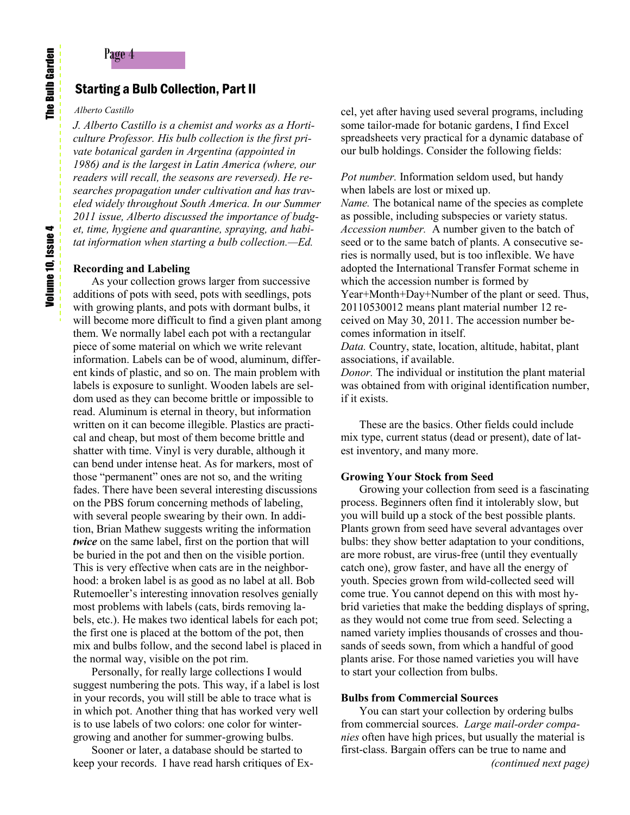## Starting a Bulb Collection, Part II

#### *Alberto Castillo*

*J. Alberto Castillo is a chemist and works as a Horticulture Professor. His bulb collection is the first private botanical garden in Argentina (appointed in 1986) and is the largest in Latin America (where, our readers will recall, the seasons are reversed). He researches propagation under cultivation and has traveled widely throughout South America. In our Summer 2011 issue, Alberto discussed the importance of budget, time, hygiene and quarantine, spraying, and habitat information when starting a bulb collection.—Ed.*

#### **Recording and Labeling**

As your collection grows larger from successive additions of pots with seed, pots with seedlings, pots with growing plants, and pots with dormant bulbs, it will become more difficult to find a given plant among them. We normally label each pot with a rectangular piece of some material on which we write relevant information. Labels can be of wood, aluminum, different kinds of plastic, and so on. The main problem with labels is exposure to sunlight. Wooden labels are seldom used as they can become brittle or impossible to read. Aluminum is eternal in theory, but information written on it can become illegible. Plastics are practical and cheap, but most of them become brittle and shatter with time. Vinyl is very durable, although it can bend under intense heat. As for markers, most of those "permanent" ones are not so, and the writing fades. There have been several interesting discussions on the PBS forum concerning methods of labeling, with several people swearing by their own. In addition, Brian Mathew suggests writing the information *twice* on the same label, first on the portion that will be buried in the pot and then on the visible portion. This is very effective when cats are in the neighborhood: a broken label is as good as no label at all. Bob Rutemoeller's interesting innovation resolves genially most problems with labels (cats, birds removing labels, etc.). He makes two identical labels for each pot; the first one is placed at the bottom of the pot, then mix and bulbs follow, and the second label is placed in the normal way, visible on the pot rim.

Personally, for really large collections I would suggest numbering the pots. This way, if a label is lost in your records, you will still be able to trace what is in which pot. Another thing that has worked very well is to use labels of two colors: one color for wintergrowing and another for summer-growing bulbs.

Sooner or later, a database should be started to keep your records. I have read harsh critiques of Excel, yet after having used several programs, including some tailor-made for botanic gardens, I find Excel spreadsheets very practical for a dynamic database of our bulb holdings. Consider the following fields:

*Pot number.* Information seldom used, but handy when labels are lost or mixed up.

*Name.* The botanical name of the species as complete as possible, including subspecies or variety status. *Accession number.* A number given to the batch of seed or to the same batch of plants. A consecutive series is normally used, but is too inflexible. We have adopted the International Transfer Format scheme in which the accession number is formed by Year+Month+Day+Number of the plant or seed. Thus, 20110530012 means plant material number 12 received on May 30, 2011. The accession number becomes information in itself.

*Data.* Country, state, location, altitude, habitat, plant associations, if available.

*Donor.* The individual or institution the plant material was obtained from with original identification number, if it exists.

These are the basics. Other fields could include mix type, current status (dead or present), date of latest inventory, and many more.

#### **Growing Your Stock from Seed**

Growing your collection from seed is a fascinating process. Beginners often find it intolerably slow, but you will build up a stock of the best possible plants. Plants grown from seed have several advantages over bulbs: they show better adaptation to your conditions, are more robust, are virus-free (until they eventually catch one), grow faster, and have all the energy of youth. Species grown from wild-collected seed will come true. You cannot depend on this with most hybrid varieties that make the bedding displays of spring, as they would not come true from seed. Selecting a named variety implies thousands of crosses and thousands of seeds sown, from which a handful of good plants arise. For those named varieties you will have to start your collection from bulbs.

#### **Bulbs from Commercial Sources**

You can start your collection by ordering bulbs from commercial sources. *Large mail-order companies* often have high prices, but usually the material is first-class. Bargain offers can be true to name and *(continued next page)*

4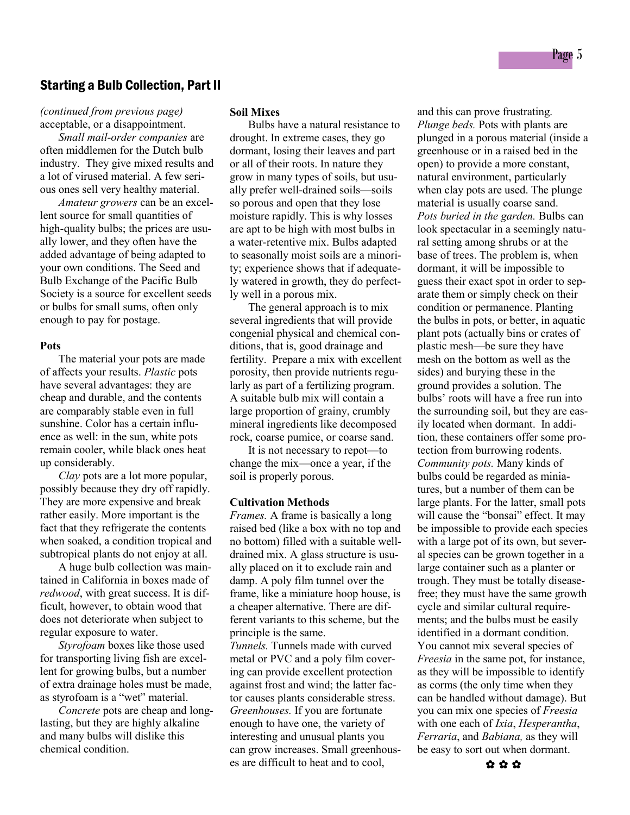## Starting a Bulb Collection, Part II

*(continued from previous page)* acceptable, or a disappointment.

*Small mail-order companies* are often middlemen for the Dutch bulb industry. They give mixed results and a lot of virused material. A few serious ones sell very healthy material.

*Amateur growers* can be an excellent source for small quantities of high-quality bulbs; the prices are usually lower, and they often have the added advantage of being adapted to your own conditions. The Seed and Bulb Exchange of the Pacific Bulb Society is a source for excellent seeds or bulbs for small sums, often only enough to pay for postage.

#### **Pots**

The material your pots are made of affects your results. *Plastic* pots have several advantages: they are cheap and durable, and the contents are comparably stable even in full sunshine. Color has a certain influence as well: in the sun, white pots remain cooler, while black ones heat up considerably.

*Clay* pots are a lot more popular, possibly because they dry off rapidly. They are more expensive and break rather easily. More important is the fact that they refrigerate the contents when soaked, a condition tropical and subtropical plants do not enjoy at all.

A huge bulb collection was maintained in California in boxes made of *redwood*, with great success. It is difficult, however, to obtain wood that does not deteriorate when subject to regular exposure to water.

*Styrofoam* boxes like those used for transporting living fish are excellent for growing bulbs, but a number of extra drainage holes must be made, as styrofoam is a "wet" material.

*Concrete* pots are cheap and longlasting, but they are highly alkaline and many bulbs will dislike this chemical condition.

#### **Soil Mixes**

Bulbs have a natural resistance to drought. In extreme cases, they go dormant, losing their leaves and part or all of their roots. In nature they grow in many types of soils, but usually prefer well-drained soils—soils so porous and open that they lose moisture rapidly. This is why losses are apt to be high with most bulbs in a water-retentive mix. Bulbs adapted to seasonally moist soils are a minority; experience shows that if adequately watered in growth, they do perfectly well in a porous mix.

The general approach is to mix several ingredients that will provide congenial physical and chemical conditions, that is, good drainage and fertility. Prepare a mix with excellent porosity, then provide nutrients regularly as part of a fertilizing program. A suitable bulb mix will contain a large proportion of grainy, crumbly mineral ingredients like decomposed rock, coarse pumice, or coarse sand.

It is not necessary to repot—to change the mix—once a year, if the soil is properly porous.

#### **Cultivation Methods**

*Frames.* A frame is basically a long raised bed (like a box with no top and no bottom) filled with a suitable welldrained mix. A glass structure is usually placed on it to exclude rain and damp. A poly film tunnel over the frame, like a miniature hoop house, is a cheaper alternative. There are different variants to this scheme, but the principle is the same. *Tunnels.* Tunnels made with curved metal or PVC and a poly film cover-

ing can provide excellent protection against frost and wind; the latter factor causes plants considerable stress. *Greenhouses.* If you are fortunate enough to have one, the variety of interesting and unusual plants you can grow increases. Small greenhouses are difficult to heat and to cool,

and this can prove frustrating. *Plunge beds.* Pots with plants are plunged in a porous material (inside a greenhouse or in a raised bed in the open) to provide a more constant, natural environment, particularly when clay pots are used. The plunge material is usually coarse sand. *Pots buried in the garden.* Bulbs can look spectacular in a seemingly natural setting among shrubs or at the base of trees. The problem is, when dormant, it will be impossible to guess their exact spot in order to separate them or simply check on their condition or permanence. Planting the bulbs in pots, or better, in aquatic plant pots (actually bins or crates of plastic mesh—be sure they have mesh on the bottom as well as the sides) and burying these in the ground provides a solution. The bulbs' roots will have a free run into the surrounding soil, but they are easily located when dormant. In addition, these containers offer some protection from burrowing rodents. *Community pots.* Many kinds of bulbs could be regarded as miniatures, but a number of them can be large plants. For the latter, small pots will cause the "bonsai" effect. It may be impossible to provide each species with a large pot of its own, but several species can be grown together in a large container such as a planter or trough. They must be totally diseasefree; they must have the same growth cycle and similar cultural requirements; and the bulbs must be easily identified in a dormant condition. You cannot mix several species of *Freesia* in the same pot, for instance, as they will be impossible to identify as corms (the only time when they can be handled without damage). But you can mix one species of *Freesia* with one each of *Ixia*, *Hesperantha*, *Ferraria*, and *Babiana,* as they will be easy to sort out when dormant.

Page 5

✿ ✿ ✿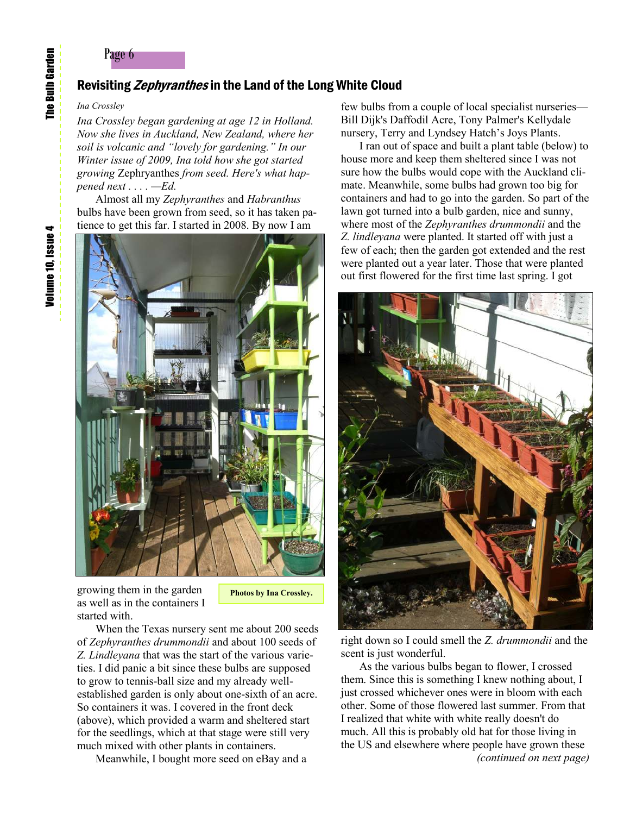## Page 6

## Revisiting Zephyranthes in the Land of the Long White Cloud

#### *Ina Crossley*

*Ina Crossley began gardening at age 12 in Holland. Now she lives in Auckland, New Zealand, where her soil is volcanic and "lovely for gardening." In our Winter issue of 2009, Ina told how she got started growing* Zephryanthes *from seed. Here's what happened next . . . . —Ed.*

Almost all my *Zephyranthes* and *Habranthus* bulbs have been grown from seed, so it has taken patience to get this far. I started in 2008. By now I am



growing them in the garden as well as in the containers I started with.

**Photos by Ina Crossley.**

When the Texas nursery sent me about 200 seeds of *Zephyranthes drummondii* and about 100 seeds of *Z. Lindleyana* that was the start of the various varieties. I did panic a bit since these bulbs are supposed to grow to tennis-ball size and my already wellestablished garden is only about one-sixth of an acre. So containers it was. I covered in the front deck (above), which provided a warm and sheltered start for the seedlings, which at that stage were still very much mixed with other plants in containers.

Meanwhile, I bought more seed on eBay and a

few bulbs from a couple of local specialist nurseries— Bill Dijk's Daffodil Acre, Tony Palmer's Kellydale nursery, Terry and Lyndsey Hatch's Joys Plants.

I ran out of space and built a plant table (below) to house more and keep them sheltered since I was not sure how the bulbs would cope with the Auckland climate. Meanwhile, some bulbs had grown too big for containers and had to go into the garden. So part of the lawn got turned into a bulb garden, nice and sunny, where most of the *Zephyranthes drummondii* and the *Z. lindleyana* were planted. It started off with just a few of each; then the garden got extended and the rest were planted out a year later. Those that were planted out first flowered for the first time last spring. I got



right down so I could smell the *Z. drummondii* and the scent is just wonderful.

As the various bulbs began to flower, I crossed them. Since this is something I knew nothing about, I just crossed whichever ones were in bloom with each other. Some of those flowered last summer. From that I realized that white with white really doesn't do much. All this is probably old hat for those living in the US and elsewhere where people have grown these *(continued on next page)* 

Volume 10, Issue 4 Volume 10, Issue 4

**The Bulb Garden** The Bulb Garden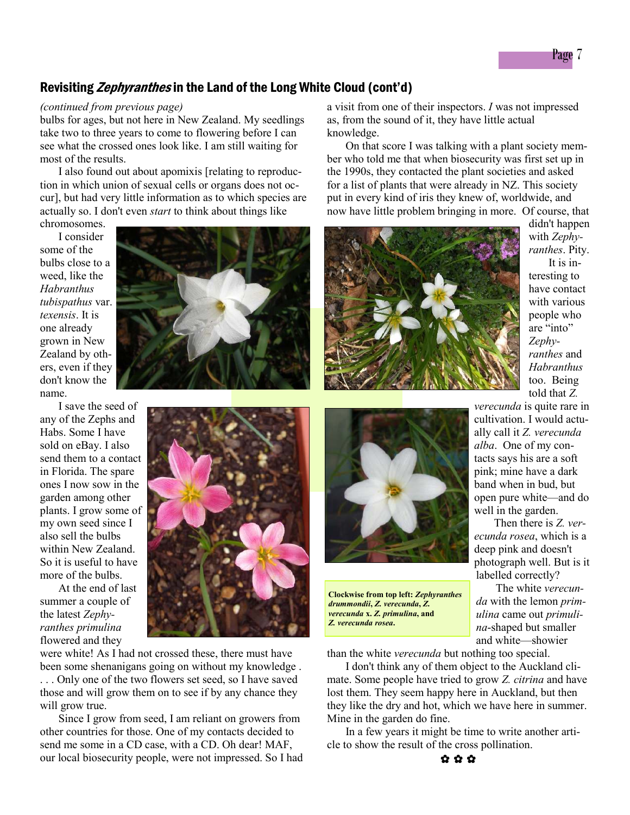## Revisiting *Zephyranthes* in the Land of the Long White Cloud (cont'd)

#### *(continued from previous page)*

bulbs for ages, but not here in New Zealand. My seedlings take two to three years to come to flowering before I can see what the crossed ones look like. I am still waiting for most of the results.

I also found out about apomixis [relating to reproduction in which union of sexual cells or organs does not occur], but had very little information as to which species are actually so. I don't even *start* to think about things like

chromosomes. I consider some of the bulbs close to a weed, like the *Habranthus tubispathus* var. *texensis*. It is one already grown in New Zealand by others, even if they don't know the name.

I save the seed of any of the Zephs and Habs. Some I have sold on eBay. I also send them to a contact in Florida. The spare ones I now sow in the garden among other plants. I grow some of my own seed since I also sell the bulbs within New Zealand. So it is useful to have more of the bulbs.

At the end of last summer a couple of the latest *Zephyranthes primulina* flowered and they

were white! As I had not crossed these, there must have been some shenanigans going on without my knowledge .

. . . Only one of the two flowers set seed, so I have saved those and will grow them on to see if by any chance they will grow true.

Since I grow from seed, I am reliant on growers from other countries for those. One of my contacts decided to send me some in a CD case, with a CD. Oh dear! MAF, our local biosecurity people, were not impressed. So I had a visit from one of their inspectors. *I* was not impressed as, from the sound of it, they have little actual knowledge.

On that score I was talking with a plant society member who told me that when biosecurity was first set up in the 1990s, they contacted the plant societies and asked for a list of plants that were already in NZ. This society put in every kind of iris they knew of, worldwide, and now have little problem bringing in more. Of course, that



didn't happen with *Zephyranthes*. Pity. It is interesting to have contact with various people who are "into" *Zephyranthes* and *Habranthus* too. Being told that *Z.* 

*verecunda* is quite rare in cultivation. I would actually call it *Z. verecunda alba*. One of my contacts says his are a soft pink; mine have a dark band when in bud, but open pure white—and do well in the garden.

 Then there is *Z. verecunda rosea*, which is a deep pink and doesn't photograph well. But is it labelled correctly?

 The white *verecunda* with the lemon *primulina* came out *primulina*-shaped but smaller and white—showier

**Clockwise from top left:** *Zephyranthes drummondii***,** *Z. verecunda***,** *Z. verecunda* **x.** *Z. primulina***, and** *Z. verecunda rosea***.**

than the white *verecunda* but nothing too special.

I don't think any of them object to the Auckland climate. Some people have tried to grow *Z. citrina* and have lost them. They seem happy here in Auckland, but then they like the dry and hot, which we have here in summer. Mine in the garden do fine.

In a few years it might be time to write another article to show the result of the cross pollination.



Page 7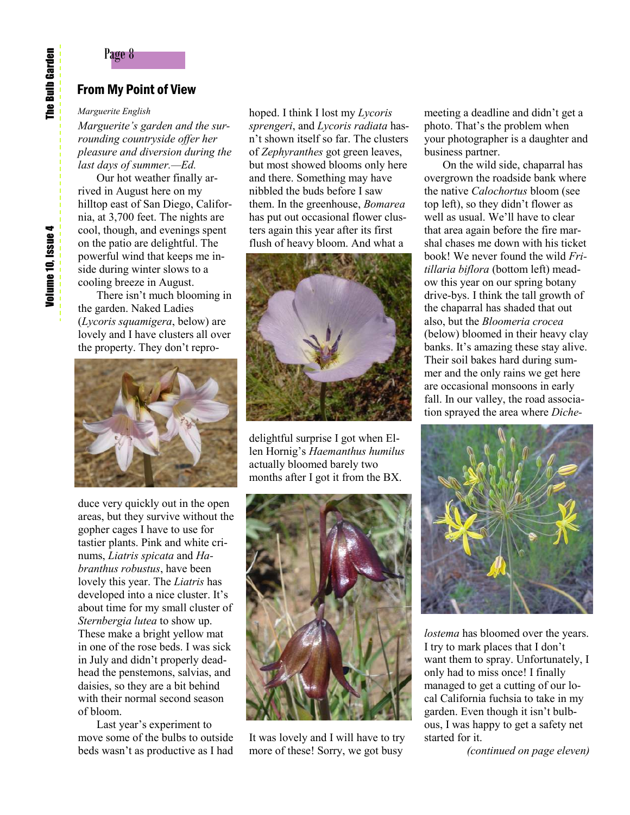## From My Point of View

#### *Marguerite English*

*Marguerite's garden and the surrounding countryside offer her pleasure and diversion during the last days of summer.—Ed.*

Our hot weather finally arrived in August here on my hilltop east of San Diego, California, at 3,700 feet. The nights are cool, though, and evenings spent on the patio are delightful. The powerful wind that keeps me inside during winter slows to a cooling breeze in August.

There isn't much blooming in the garden. Naked Ladies (*Lycoris squamigera*, below) are lovely and I have clusters all over the property. They don't repro-



duce very quickly out in the open areas, but they survive without the gopher cages I have to use for tastier plants. Pink and white crinums, *Liatris spicata* and *Habranthus robustus*, have been lovely this year. The *Liatris* has developed into a nice cluster. It's about time for my small cluster of *Sternbergia lutea* to show up. These make a bright yellow mat in one of the rose beds. I was sick in July and didn't properly deadhead the penstemons, salvias, and daisies, so they are a bit behind with their normal second season of bloom.

Last year's experiment to move some of the bulbs to outside beds wasn't as productive as I had

hoped. I think I lost my *Lycoris sprengeri*, and *Lycoris radiata* hasn't shown itself so far. The clusters of *Zephyranthes* got green leaves, but most showed blooms only here and there. Something may have nibbled the buds before I saw them. In the greenhouse, *Bomarea* has put out occasional flower clusters again this year after its first flush of heavy bloom. And what a



delightful surprise I got when Ellen Hornig's *Haemanthus humilus* actually bloomed barely two months after I got it from the BX.



It was lovely and I will have to try more of these! Sorry, we got busy

meeting a deadline and didn't get a photo. That's the problem when your photographer is a daughter and business partner.

On the wild side, chaparral has overgrown the roadside bank where the native *Calochortus* bloom (see top left), so they didn't flower as well as usual. We'll have to clear that area again before the fire marshal chases me down with his ticket book! We never found the wild *Fritillaria biflora* (bottom left) meadow this year on our spring botany drive-bys. I think the tall growth of the chaparral has shaded that out also, but the *Bloomeria crocea*  (below) bloomed in their heavy clay banks. It's amazing these stay alive. Their soil bakes hard during summer and the only rains we get here are occasional monsoons in early fall. In our valley, the road association sprayed the area where *Diche-*



*lostema* has bloomed over the years. I try to mark places that I don't want them to spray. Unfortunately, I only had to miss once! I finally managed to get a cutting of our local California fuchsia to take in my garden. Even though it isn't bulbous, I was happy to get a safety net started for it.

*(continued on page eleven)*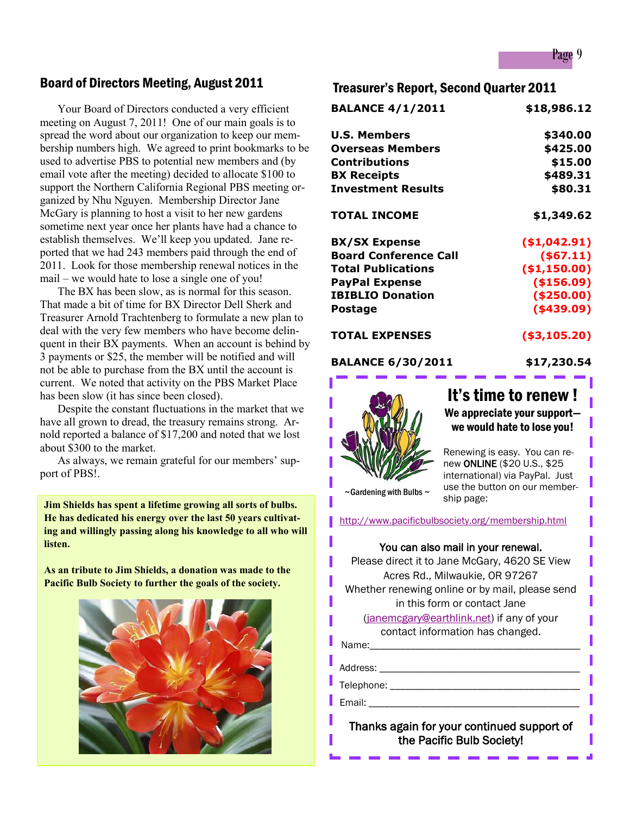## Board of Directors Meeting, August 2011

Your Board of Directors conducted a very efficient meeting on August 7, 2011! One of our main goals is to spread the word about our organization to keep our membership numbers high. We agreed to print bookmarks to be used to advertise PBS to potential new members and (by email vote after the meeting) decided to allocate \$100 to support the Northern California Regional PBS meeting organized by Nhu Nguyen. Membership Director Jane McGary is planning to host a visit to her new gardens sometime next year once her plants have had a chance to establish themselves. We'll keep you updated. Jane reported that we had 243 members paid through the end of 2011. Look for those membership renewal notices in the mail – we would hate to lose a single one of you!

The BX has been slow, as is normal for this season. That made a bit of time for BX Director Dell Sherk and Treasurer Arnold Trachtenberg to formulate a new plan to deal with the very few members who have become delinquent in their BX payments. When an account is behind by 3 payments or \$25, the member will be notified and will not be able to purchase from the BX until the account is current. We noted that activity on the PBS Market Place has been slow (it has since been closed).

Despite the constant fluctuations in the market that we have all grown to dread, the treasury remains strong. Arnold reported a balance of \$17,200 and noted that we lost about \$300 to the market.

As always, we remain grateful for our members' support of PBS!.

**Jim Shields has spent a lifetime growing all sorts of bulbs. He has dedicated his energy over the last 50 years cultivating and willingly passing along his knowledge to all who will listen.**

**As an tribute to Jim Shields, a donation was made to the Pacific Bulb Society to further the goals of the society.**



## Treasurer's Report, Second Quarter 2011

| <b>BALANCE 4/1/2011</b>      | \$18,986.12   |
|------------------------------|---------------|
| <b>U.S. Members</b>          | \$340.00      |
| <b>Overseas Members</b>      | \$425.00      |
| <b>Contributions</b>         | \$15.00       |
| <b>BX Receipts</b>           | \$489.31      |
| <b>Investment Results</b>    | \$80.31       |
| <b>TOTAL INCOME</b>          | \$1,349.62    |
| <b>BX/SX Expense</b>         | ( \$1,042.91) |
| <b>Board Conference Call</b> | ( \$67.11)    |
| <b>Total Publications</b>    | ( \$1,150.00) |
| <b>PayPal Expense</b>        | (\$156.09)    |
| <b>IBIBLIO Donation</b>      | ( \$250.00)   |
| Postage                      | ( \$439.09)   |
| <b>TOTAL EXPENSES</b>        | ( \$3,105.20) |

#### **BALANCE 6/30/2011 \$17,230.54**



## It's time to renew ! We appreciate your support we would hate to lose you!

Renewing is easy. You can renew ONLINE (\$20 U.S., \$25 international) via PayPal. Just use the button on our membership page:

 $\sim$  Gardening with Bulbs  $\sim$ 

<http://www.pacificbulbsociety.org/membership.html>

#### You can also mail in your renewal.

Please direct it to Jane McGary, 4620 SE View Acres Rd., Milwaukie, OR 97267 Whether renewing online or by mail, please send in this form or contact Jane ([janemcgary@earthlink.net\)](mailto:janemcgary@earthlink.net) if any of your contact information has changed. Name:\_\_\_\_\_\_\_\_\_\_\_\_\_\_\_\_\_\_\_\_\_\_\_\_\_\_\_\_\_\_\_\_\_\_\_\_\_\_\_\_\_

Address: \_\_\_\_\_\_\_\_\_\_\_\_\_\_\_\_\_\_\_\_\_\_\_\_\_\_\_\_\_\_\_\_\_\_\_\_\_\_\_

Telephone: \_\_\_\_\_\_\_\_\_\_\_\_\_\_\_\_\_\_\_\_\_\_\_\_\_\_\_\_\_\_\_\_\_\_\_\_\_

Email: \_\_\_\_\_\_\_\_\_\_\_\_\_\_\_\_\_\_\_\_\_\_\_\_\_\_\_\_\_\_\_\_\_\_\_\_\_\_\_\_\_

## Thanks again for your continued support of the Pacific Bulb Society!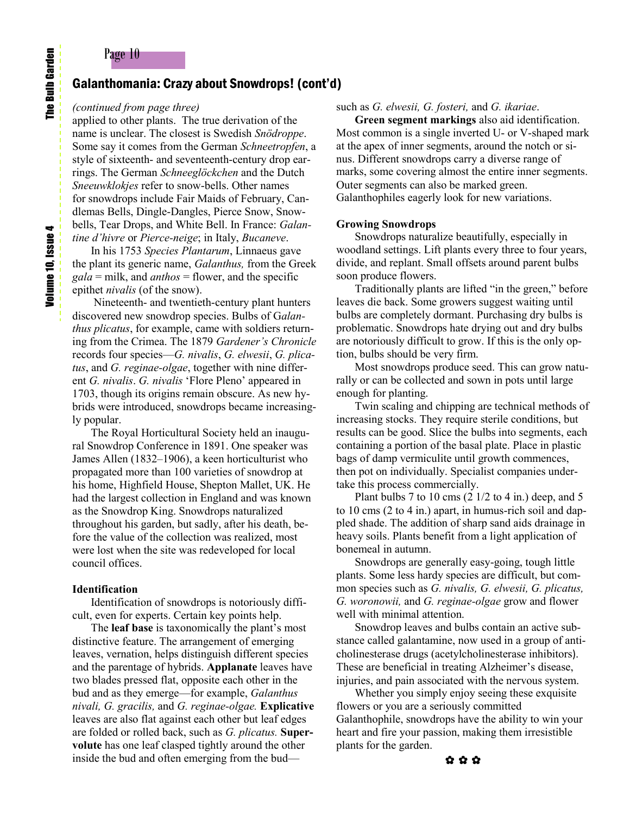## Page 10

### Galanthomania: Crazy about Snowdrops! (cont'd)

#### *(continued from page three)*

applied to other plants. The true derivation of the name is unclear. The closest is Swedish *Snödroppe*. Some say it comes from the German *Schneetropfen*, a style of sixteenth- and seventeenth-century drop earrings. The German *Schneeglöckchen* and the Dutch *Sneeuwklokjes* refer to snow-bells. Other names for snowdrops include Fair Maids of February, Candlemas Bells, Dingle-Dangles, Pierce Snow, Snowbells, Tear Drops, and White Bell. In France: *Galantine d'hivre* or *Pierce-neige*; in Italy, *Bucaneve*.

In his 1753 *Species Plantarum*, Linnaeus gave the plant its generic name, *Galanthus,* from the Greek *gala* = milk, and *anthos* = flower, and the specific epithet *nivalis* (of the snow).

 Nineteenth- and twentieth-century plant hunters discovered new snowdrop species. Bulbs of G*alanthus plicatus*, for example, came with soldiers returning from the Crimea. The 1879 *Gardener's Chronicle* records four species—*G. nivalis*, *G. elwesii*, *G. plicatus*, and *G. reginae-olgae*, together with nine different *G. nivalis*. *G. nivalis* 'Flore Pleno' appeared in 1703, though its origins remain obscure. As new hybrids were introduced, snowdrops became increasingly popular.

The Royal Horticultural Society held an inaugural Snowdrop Conference in 1891. One speaker was James Allen (1832–1906), a keen horticulturist who propagated more than 100 varieties of snowdrop at his home, Highfield House, Shepton Mallet, UK. He had the largest collection in England and was known as the Snowdrop King. Snowdrops naturalized throughout his garden, but sadly, after his death, before the value of the collection was realized, most were lost when the site was redeveloped for local council offices.

#### **Identification**

Identification of snowdrops is notoriously difficult, even for experts. Certain key points help.

The **leaf base** is taxonomically the plant's most distinctive feature. The arrangement of emerging leaves, vernation, helps distinguish different species and the parentage of hybrids. **Applanate** leaves have two blades pressed flat, opposite each other in the bud and as they emerge—for example, *Galanthus nivali, G. gracilis,* and *G. reginae-olgae.* **Explicative** leaves are also flat against each other but leaf edges are folded or rolled back, such as *G. plicatus.* **Supervolute** has one leaf clasped tightly around the other inside the bud and often emerging from the bud—

#### such as *G. elwesii, G. fosteri,* and *G. ikariae*.

**Green segment markings** also aid identification. Most common is a single inverted U- or V-shaped mark at the apex of inner segments, around the notch or sinus. Different snowdrops carry a diverse range of marks, some covering almost the entire inner segments. Outer segments can also be marked green. Galanthophiles eagerly look for new variations.

#### **Growing Snowdrops**

Snowdrops naturalize beautifully, especially in woodland settings. Lift plants every three to four years, divide, and replant. Small offsets around parent bulbs soon produce flowers.

Traditionally plants are lifted "in the green," before leaves die back. Some growers suggest waiting until bulbs are completely dormant. Purchasing dry bulbs is problematic. Snowdrops hate drying out and dry bulbs are notoriously difficult to grow. If this is the only option, bulbs should be very firm.

Most snowdrops produce seed. This can grow naturally or can be collected and sown in pots until large enough for planting.

Twin scaling and chipping are technical methods of increasing stocks. They require sterile conditions, but results can be good. Slice the bulbs into segments, each containing a portion of the basal plate. Place in plastic bags of damp vermiculite until growth commences, then pot on individually. Specialist companies undertake this process commercially.

Plant bulbs 7 to 10 cms  $(2 \frac{1}{2} \text{ to } 4 \text{ in.})$  deep, and 5 to 10 cms (2 to 4 in.) apart, in humus-rich soil and dappled shade. The addition of sharp sand aids drainage in heavy soils. Plants benefit from a light application of bonemeal in autumn.

Snowdrops are generally easy-going, tough little plants. Some less hardy species are difficult, but common species such as *G. nivalis, G. elwesii, G. plicatus, G. woronowii,* and *G. reginae-olgae* grow and flower well with minimal attention.

Snowdrop leaves and bulbs contain an active substance called galantamine, now used in a group of anticholinesterase drugs (acetylcholinesterase inhibitors). These are beneficial in treating Alzheimer's disease, injuries, and pain associated with the nervous system.

Whether you simply enjoy seeing these exquisite flowers or you are a seriously committed Galanthophile, snowdrops have the ability to win your heart and fire your passion, making them irresistible plants for the garden.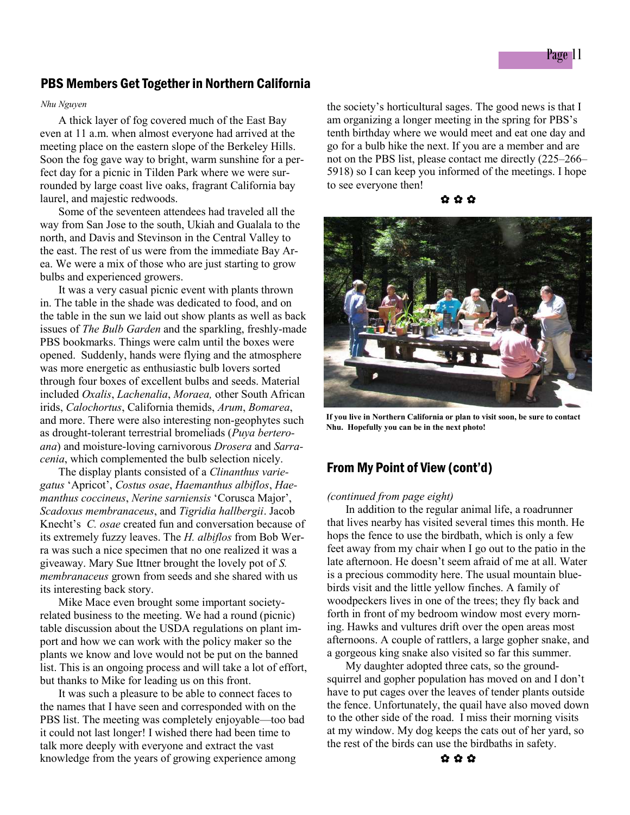## PBS Members Get Together in Northern California

#### *Nhu Nguyen*

A thick layer of fog covered much of the East Bay even at 11 a.m. when almost everyone had arrived at the meeting place on the eastern slope of the Berkeley Hills. Soon the fog gave way to bright, warm sunshine for a perfect day for a picnic in Tilden Park where we were surrounded by large coast live oaks, fragrant California bay laurel, and majestic redwoods.

Some of the seventeen attendees had traveled all the way from San Jose to the south, Ukiah and Gualala to the north, and Davis and Stevinson in the Central Valley to the east. The rest of us were from the immediate Bay Area. We were a mix of those who are just starting to grow bulbs and experienced growers.

It was a very casual picnic event with plants thrown in. The table in the shade was dedicated to food, and on the table in the sun we laid out show plants as well as back issues of *The Bulb Garden* and the sparkling, freshly-made PBS bookmarks. Things were calm until the boxes were opened. Suddenly, hands were flying and the atmosphere was more energetic as enthusiastic bulb lovers sorted through four boxes of excellent bulbs and seeds. Material included *Oxalis*, *Lachenalia*, *Moraea,* other South African irids, *Calochortus*, California themids, *Arum*, *Bomarea*, and more. There were also interesting non-geophytes such as drought-tolerant terrestrial bromeliads (*Puya berteroana*) and moisture-loving carnivorous *Drosera* and *Sarracenia*, which complemented the bulb selection nicely.

The display plants consisted of a *Clinanthus variegatus* 'Apricot', *Costus osae*, *Haemanthus albiflos*, *Haemanthus coccineus*, *Nerine sarniensis* 'Corusca Major', *Scadoxus membranaceus*, and *Tigridia hallbergii*. Jacob Knecht's *C. osae* created fun and conversation because of its extremely fuzzy leaves. The *H. albiflos* from Bob Werra was such a nice specimen that no one realized it was a giveaway. Mary Sue Ittner brought the lovely pot of *S. membranaceus* grown from seeds and she shared with us its interesting back story.

Mike Mace even brought some important societyrelated business to the meeting. We had a round (picnic) table discussion about the USDA regulations on plant import and how we can work with the policy maker so the plants we know and love would not be put on the banned list. This is an ongoing process and will take a lot of effort, but thanks to Mike for leading us on this front.

It was such a pleasure to be able to connect faces to the names that I have seen and corresponded with on the PBS list. The meeting was completely enjoyable—too bad it could not last longer! I wished there had been time to talk more deeply with everyone and extract the vast knowledge from the years of growing experience among

the society's horticultural sages. The good news is that I am organizing a longer meeting in the spring for PBS's tenth birthday where we would meet and eat one day and go for a bulb hike the next. If you are a member and are not on the PBS list, please contact me directly (225–266– 5918) so I can keep you informed of the meetings. I hope to see everyone then!





**If you live in Northern California or plan to visit soon, be sure to contact Nhu. Hopefully you can be in the next photo!**

## From My Point of View (cont'd)

#### *(continued from page eight)*

In addition to the regular animal life, a roadrunner that lives nearby has visited several times this month. He hops the fence to use the birdbath, which is only a few feet away from my chair when I go out to the patio in the late afternoon. He doesn't seem afraid of me at all. Water is a precious commodity here. The usual mountain bluebirds visit and the little yellow finches. A family of woodpeckers lives in one of the trees; they fly back and forth in front of my bedroom window most every morning. Hawks and vultures drift over the open areas most afternoons. A couple of rattlers, a large gopher snake, and a gorgeous king snake also visited so far this summer.

My daughter adopted three cats, so the groundsquirrel and gopher population has moved on and I don't have to put cages over the leaves of tender plants outside the fence. Unfortunately, the quail have also moved down to the other side of the road. I miss their morning visits at my window. My dog keeps the cats out of her yard, so the rest of the birds can use the birdbaths in safety.